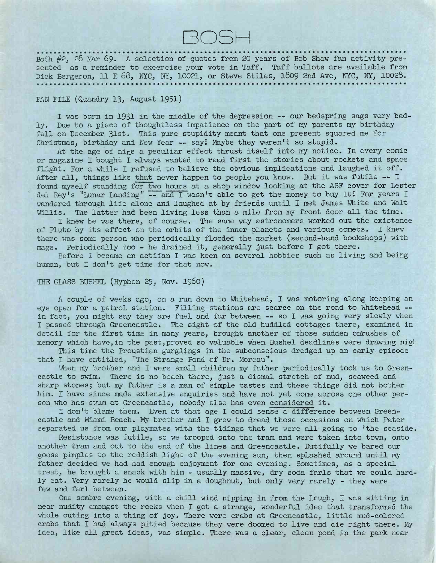

BoSh *#2,* 28 Mar 69. A selection of quotes from 20 years of Bob Shaw fan activity presented as a reminder to excercise your vote in Taff. Taff ballots are available from Dick Bergeron, 11 E 68, NYC, NY, 10021, or Steve Stiles, 1809 2nd Ave, NYC, NY, 10028.

## FAN FILE (Quandry 13, August 1951)

<sup>I</sup> was born in <sup>1931</sup> in the middle of the depression — our bedspring sags very badly. Due to a piece of thoughtless impatience on the part of my parents my birthday fell on December 31st. This pure stupidity meant that one present squared me for Christmas, birthday and New Year — say! Maybe they weren't so stupid.

At the age of nine a peculiar effect thrust itself into my notice. In every comic or magazine I bought I always wanted to read first the stories about rockets and space flight. For a while I refused to believe the obvious implications and laughed it off. After all, things like that never happen to people you know. But it was futile — <sup>I</sup> found myself standing for two hours at a shop window looking at the ASF cover for Lester del Rey's "Lunar Landing" -- and I wasn't able to get the money to buy it! For years I wandered through life alone and laughed at by friends until I met James White and Walt Willis. The latter had been living less than a mile from my front door all the time.

I knew he was there, of course. The same way astronomers worked out the existence of Pluto by its effect on the orbits of the inner planets and various comets. I knew there was some person who periodically flooded the market (second-hand bookshops) with mags. Periodically too - he drained it, generally just before I got there.

Before I became an actifan I was keen on several hobbies such as living and being human, but I don't get time for that now.

## THE GLASS BUSHEL (Hyphen 25, Nov. 1960)

A couple of weeks ago, on a run down to Whitehead, I was motoring along keeping an eye open for a petrol station. Filling stations are scarce on the road to Whitehead -in fact, you might say they are fuel and far between -- so I was going very slowly when I passed through Greencastle. The sight of the old huddled cottages there, examined in detail for the first time in many years, brought another of those sudden onrushes of memory which have, in the past, proved so valuable when Bushel deadlines were drawing night

This time the Proustian gurglings in the subconscious dredged up an early episode that I have entitled, "The Strange Pond of Dr. Moreau".

When my brother and I were small children my father periodically took us to Greencastle to swim. There is no beach there, just a dismal stretch of mud, seaweed and sharp stones; but my father is a man of simple tastes and these things did not bother him. I have since made extensive enquiries and have not yet come across one other person who has swum at Greencastle, nobody else has even considered it.

I don't blame them. Even at that age I could sense a difference between Greencastle and Miami Beach. My brother and I grew to dread those occasions on which Pater separated us from our playmates with the tidings that we were all going to 'the seaside.

Resistance was futile, so we trooped onto the tram and were taken into town, onto another tram and out to the end of the lines and Greencastle. Dutifully we bared our goose pimples to the reddish light of the evening sun, then splashed around until my father decided we had had enough enjoyment for one evening. Sometimes, as a special treat, he brought a snack with him - usually massive, dry soda farls that we could hardly eat. Very rarely he would slip in a doughnut, but only very rarely - they were few and farl between.

One sombre evening, with a chill wind nipping in from the Lough, I was sitting in near nudity amongst the rocks when I got a strange, wonderful idea that transformed the whole outing into a thing of joy. There were crabs at Greencastle, little mud-colored crabs that I had always pitied because they were doomed to live and die right there. My idea, like all great ideas, was simple. There was a clear, clean pond in the park near